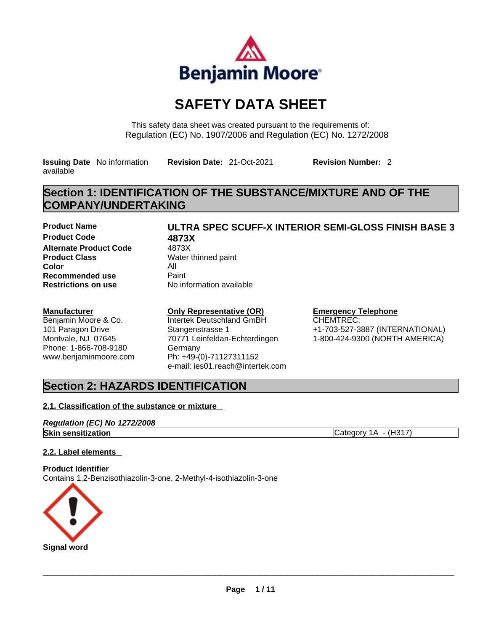

## **SAFETY DATA SHEET**

This safety data sheet was created pursuant to the requirements of: Regulation (EC) No. 1907/2006 and Regulation (EC) No. 1272/2008

**Issuing Date** No information available

**Revision Date:** 21-Oct-2021 **Revision Number:** 2

## **Section 1: IDENTIFICATION OF THE SUBSTANCE/MIXTURE AND OF THE COMPANY/UNDERTAKING**

**Product Name ULTRA SPEC SCUFF-X INTERIOR SEMI-GLOSS FINISH BASE 3 Product Code 6873X**<br>**Alternate Product Code** 4873X **Alternate Product Code Product Class Water thinned paint Color** All **Recommended use** Paint<br> **Restrictions on use** No in

## **Restrictions on use** No information available

### **Manufacturer**

Benjamin Moore & Co. 101 Paragon Drive Montvale, NJ 07645 Phone: 1-866-708-9180 www.benjaminmoore.com

### **Only Representative (OR)**

Intertek Deutschland GmBH Stangenstrasse 1 70771 Leinfeldan-Echterdingen Germany Ph: +49-(0)-71127311152 e-mail: ies01.reach@intertek.com

#### **Emergency Telephone**

CHEMTREC: +1-703-527-3887 (INTERNATIONAL) 1-800-424-9300 (NORTH AMERICA)

## **Section 2: HAZARDS IDENTIFICATION**

### **2.1. Classification of the substance or mixture**

#### *Regulation (EC) No 1272/2008* **Skin sensitization** Category 1A - (H317)

### **2.2. Label elements**

**Product Identifier** Contains 1,2-Benzisothiazolin-3-one, 2-Methyl-4-isothiazolin-3-one

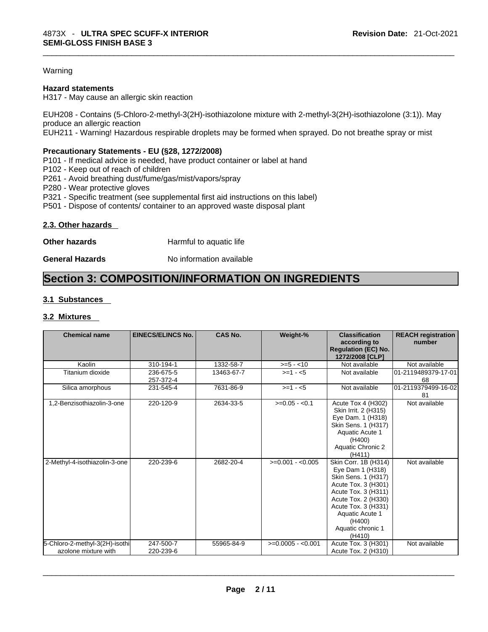#### Warning

#### **Hazard statements**

H317 - May cause an allergic skin reaction

EUH208 - Contains (5-Chloro-2-methyl-3(2H)-isothiazolone mixture with 2-methyl-3(2H)-isothiazolone (3:1)). May produce an allergic reaction EUH211 - Warning! Hazardous respirable droplets may be formed when sprayed. Do not breathe spray or mist

#### **Precautionary Statements - EU (§28, 1272/2008)**

P101 - If medical advice is needed, have product container or label at hand

P102 - Keep out of reach of children

P261 - Avoid breathing dust/fume/gas/mist/vapors/spray

P280 - Wear protective gloves

P321 - Specific treatment (see supplemental first aid instructions on this label)

P501 - Dispose of contents/ container to an approved waste disposal plant

#### **2.3. Other hazards**

**Other hazards Harmful to aquatic life** 

**General Hazards No information available** 

## **Section 3: COMPOSITION/INFORMATION ON INGREDIENTS**

#### **3.1 Substances**

#### **3.2 Mixtures**

| <b>Chemical name</b>                                   | <b>EINECS/ELINCS No.</b> | <b>CAS No.</b> | Weight-%           | <b>Classification</b><br>according to<br><b>Regulation (EC) No.</b><br>1272/2008 [CLP]                                                                                                                                  | <b>REACH registration</b><br>number |
|--------------------------------------------------------|--------------------------|----------------|--------------------|-------------------------------------------------------------------------------------------------------------------------------------------------------------------------------------------------------------------------|-------------------------------------|
| Kaolin                                                 | 310-194-1                | 1332-58-7      | $>= 5 - 10$        | Not available                                                                                                                                                                                                           | Not available                       |
| Titanium dioxide                                       | 236-675-5<br>257-372-4   | 13463-67-7     | $>=1 - 5$          | Not available                                                                                                                                                                                                           | 01-2119489379-17-01<br>68           |
| Silica amorphous                                       | 231-545-4                | 7631-86-9      | $>= 1 - 5$         | Not available                                                                                                                                                                                                           | 01-2119379499-16-02<br>81           |
| 1,2-Benzisothiazolin-3-one                             | 220-120-9                | 2634-33-5      | $>=0.05 - 0.1$     | Acute Tox 4 (H302)<br>Skin Irrit. 2 (H315)<br>Eye Dam. 1 (H318)<br>Skin Sens. 1 (H317)<br>Aquatic Acute 1<br>(H400)<br>Aquatic Chronic 2<br>(H411)                                                                      | Not available                       |
| 2-Methyl-4-isothiazolin-3-one                          | 220-239-6                | 2682-20-4      | $>=0.001 - 0.005$  | Skin Corr. 1B (H314)<br>Eye Dam 1 (H318)<br>Skin Sens. 1 (H317)<br>Acute Tox. 3 (H301)<br>Acute Tox. 3 (H311)<br>Acute Tox. 2 (H330)<br>Acute Tox. 3 (H331)<br>Aquatic Acute 1<br>(H400)<br>Aquatic chronic 1<br>(H410) | Not available                       |
| 5-Chloro-2-methyl-3(2H)-isothi<br>azolone mixture with | 247-500-7<br>220-239-6   | 55965-84-9     | $>=0.0005 - 0.001$ | Acute Tox. 3 (H301)<br>Acute Tox. 2 (H310)                                                                                                                                                                              | Not available                       |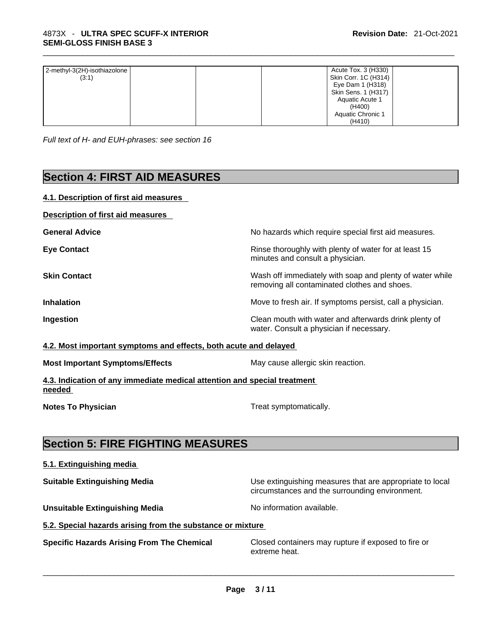| 2-methyl-3(2H)-isothiazolone | Acute Tox. 3 (H330)  |
|------------------------------|----------------------|
| (3:1)                        | Skin Corr. 1C (H314) |
|                              | Eye Dam 1 (H318)     |
|                              | Skin Sens. 1 (H317)  |
|                              | Aquatic Acute 1      |
|                              | (H400)               |
|                              | Aquatic Chronic 1    |
|                              | (H410)               |

*Full text of H- and EUH-phrases: see section 16* 

## **Section 4: FIRST AID MEASURES**

#### **4.1. Description of first aid measures**

| <b>Description of first aid measures</b> |
|------------------------------------------|
|------------------------------------------|

| <b>General Advice</b> | No hazards which require special first aid measures.                                                     |
|-----------------------|----------------------------------------------------------------------------------------------------------|
| <b>Eye Contact</b>    | Rinse thoroughly with plenty of water for at least 15<br>minutes and consult a physician.                |
| <b>Skin Contact</b>   | Wash off immediately with soap and plenty of water while<br>removing all contaminated clothes and shoes. |
| <b>Inhalation</b>     | Move to fresh air. If symptoms persist, call a physician.                                                |
| Ingestion             | Clean mouth with water and afterwards drink plenty of<br>water. Consult a physician if necessary.        |

#### **4.2. Most important symptoms and effects, both acute and delayed**

|  | <b>Most Important Symptoms/Effects</b> |
|--|----------------------------------------|
|  |                                        |

**4.3. Indication of any immediate medical attention and special treatment needed** 

**Notes To Physician Treat symptomatically.** 

**May cause allergic skin reaction.** 

## **Section 5: FIRE FIGHTING MEASURES**

#### **5.1. Extinguishing media**

**Suitable Extinguishing Media** Maximum Use extinguishing measures that are appropriate to local circumstances and the surrounding environment.

**Unsuitable Extinguishing Media** Noinformation available.

**5.2. Special hazards arising from the substance or mixture**

**Specific Hazards Arising From The Chemical** Closed containers may rupture ifexposed to fire or extreme heat. \_\_\_\_\_\_\_\_\_\_\_\_\_\_\_\_\_\_\_\_\_\_\_\_\_\_\_\_\_\_\_\_\_\_\_\_\_\_\_\_\_\_\_\_\_\_\_\_\_\_\_\_\_\_\_\_\_\_\_\_\_\_\_\_\_\_\_\_\_\_\_\_\_\_\_\_\_\_\_\_\_\_\_\_\_\_\_\_\_\_\_\_\_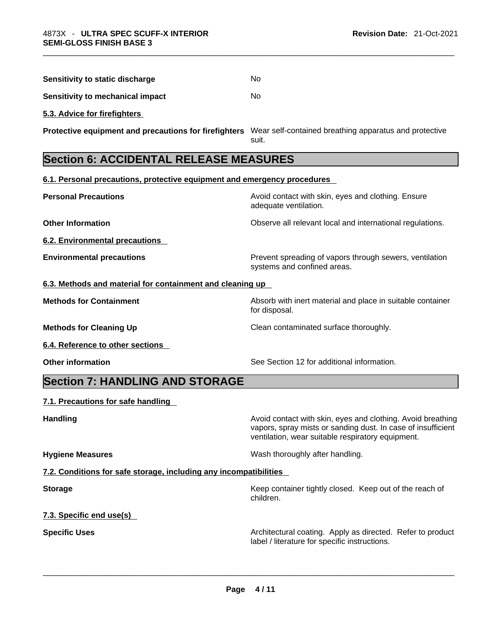| Sensitivity to static discharge  | No. |
|----------------------------------|-----|
| Sensitivity to mechanical impact | No. |

**5.3. Advice for firefighters** 

**Protective equipment and precautions for firefighters** Wear self-contained breathing apparatus and protective suit.

## **Section 6: ACCIDENTAL RELEASE MEASURES**

**6.1. Personal precautions, protective equipment and emergency procedures**

| v. i. i croonar precaduono, protective equipment and emergency procedures |                                                                                        |
|---------------------------------------------------------------------------|----------------------------------------------------------------------------------------|
| <b>Personal Precautions</b>                                               | Avoid contact with skin, eyes and clothing. Ensure<br>adequate ventilation.            |
| <b>Other Information</b>                                                  | Observe all relevant local and international regulations.                              |
| 6.2. Environmental precautions                                            |                                                                                        |
| <b>Environmental precautions</b>                                          | Prevent spreading of vapors through sewers, ventilation<br>systems and confined areas. |
| 6.3. Methods and material for containment and cleaning up                 |                                                                                        |
| <b>Methods for Containment</b>                                            | Absorb with inert material and place in suitable container<br>for disposal.            |
| <b>Methods for Cleaning Up</b>                                            | Clean contaminated surface thoroughly.                                                 |
| 6.4. Reference to other sections                                          |                                                                                        |
| <b>Other information</b>                                                  | See Section 12 for additional information.                                             |
| Section 7: HANDI ING AND STORAGE                                          |                                                                                        |

### **Section 7: HANDLING AND STORAGE**

#### **7.1. Precautions for safe handling**

**Handling Handling Avoid contact with skin, eyes and clothing. Avoid breathing** 

**Hygiene Measures**  Wash thoroughly after handling.

**7.2. Conditions for safe storage, including any incompatibilities**

**Storage Storage Keep container tightly closed. Keep out of the reach of <b>Storage Keep** out of the reach of children.

vapors, spray mists or sanding dust. In case of insufficient

ventilation, wear suitable respiratory equipment.

**7.3. Specific end use(s)** 

**Specific Uses Architectural coating. Apply as directed. Refer to product and product** and a label / literature for specific instructions. label / literature for specific instructions. \_\_\_\_\_\_\_\_\_\_\_\_\_\_\_\_\_\_\_\_\_\_\_\_\_\_\_\_\_\_\_\_\_\_\_\_\_\_\_\_\_\_\_\_\_\_\_\_\_\_\_\_\_\_\_\_\_\_\_\_\_\_\_\_\_\_\_\_\_\_\_\_\_\_\_\_\_\_\_\_\_\_\_\_\_\_\_\_\_\_\_\_\_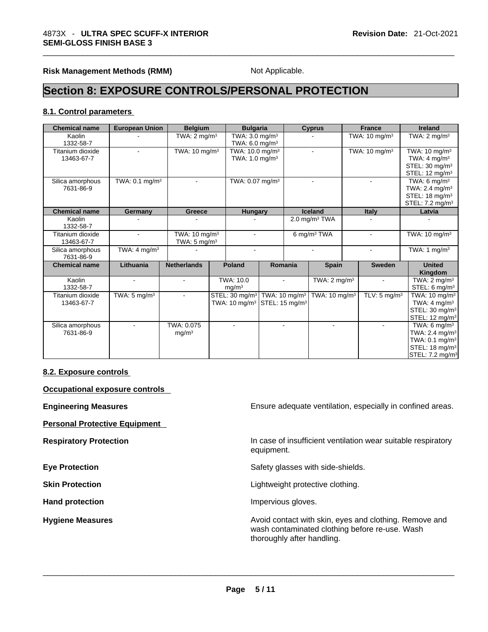**Risk Management Methods (RMM)** Not Applicable.

## **Section 8: EXPOSURE CONTROLS/PERSONAL PROTECTION**

#### **8.1. Control parameters**

| <b>Chemical name</b> | <b>European Union</b>     | <b>Belgium</b>           |                         | <b>Bulgaria</b>             |                            |                            | <b>Cyprus</b>               |  | <b>France</b>             | <b>Ireland</b>              |
|----------------------|---------------------------|--------------------------|-------------------------|-----------------------------|----------------------------|----------------------------|-----------------------------|--|---------------------------|-----------------------------|
| Kaolin               |                           |                          | TWA: $2 \text{ mg/m}^3$ |                             | TWA: 3.0 mg/m <sup>3</sup> |                            |                             |  | TWA: $10 \text{ mg/m}^3$  | TWA: $2 \text{ mg/m}^3$     |
| 1332-58-7            |                           |                          |                         | TWA: $6.0 \text{ mg/m}^3$   |                            |                            |                             |  |                           |                             |
| Titanium dioxide     |                           | TWA: $10 \text{ mg/m}^3$ |                         | TWA: 10.0 mg/m <sup>3</sup> |                            |                            | $\overline{a}$              |  | TWA: 10 mg/m <sup>3</sup> | TWA: $10 \text{ mg/m}^3$    |
| 13463-67-7           |                           |                          |                         | TWA: $1.0 \text{ mg/m}^3$   |                            |                            |                             |  |                           | TWA: 4 mg/m <sup>3</sup>    |
|                      |                           |                          |                         |                             |                            |                            |                             |  |                           | STEL: 30 mg/m <sup>3</sup>  |
|                      |                           |                          |                         |                             |                            |                            |                             |  |                           | STEL: 12 mg/m <sup>3</sup>  |
| Silica amorphous     | TWA: $0.1 \text{ mg/m}^3$ |                          |                         | TWA: 0.07 mg/m <sup>3</sup> |                            |                            |                             |  |                           | TWA: 6 mg/m $3$             |
| 7631-86-9            |                           |                          |                         |                             |                            |                            |                             |  |                           | TWA: $2.4 \text{ mg/m}^3$   |
|                      |                           |                          |                         |                             |                            |                            |                             |  |                           | STEL: $18 \text{ mg/m}^3$   |
|                      |                           |                          |                         |                             |                            |                            |                             |  |                           | STEL: 7.2 mg/m <sup>3</sup> |
| <b>Chemical name</b> | Germany                   | Greece                   |                         | <b>Hungary</b>              |                            |                            | <b>Iceland</b>              |  | <b>Italy</b>              | Latvia                      |
| Kaolin               |                           |                          |                         |                             |                            |                            | $2.0$ mg/m <sup>3</sup> TWA |  |                           |                             |
| 1332-58-7            |                           |                          |                         |                             |                            |                            |                             |  |                           |                             |
| Titanium dioxide     |                           | TWA: $10 \text{ mg/m}^3$ |                         |                             |                            |                            | 6 mg/m <sup>3</sup> TWA     |  |                           | TWA: $10 \text{ mg/m}^3$    |
| 13463-67-7           |                           | TWA: $5 \text{ mg/m}^3$  |                         |                             |                            |                            |                             |  |                           |                             |
| Silica amorphous     | TWA: $4 \text{ mq/m}^3$   |                          |                         |                             |                            |                            |                             |  |                           | TWA: 1 $mg/m3$              |
| 7631-86-9            |                           |                          |                         |                             |                            |                            |                             |  |                           |                             |
| <b>Chemical name</b> | Lithuania                 | <b>Netherlands</b>       |                         | <b>Poland</b>               |                            | Romania                    | <b>Spain</b>                |  | <b>Sweden</b>             | <b>United</b>               |
|                      |                           |                          |                         |                             |                            |                            |                             |  |                           | Kingdom                     |
| Kaolin               |                           |                          |                         | <b>TWA: 10.0</b>            |                            |                            | TWA: $2 \text{ mg/m}^3$     |  |                           | TWA: $2 \text{ mg/m}^3$     |
| 1332-58-7            |                           |                          |                         | mg/m <sup>3</sup>           |                            |                            |                             |  |                           | STEL: $6 \text{ mg/m}^3$    |
| Titanium dioxide     | TWA: $5 \text{ mg/m}^3$   |                          |                         | STEL: 30 mg/m <sup>3</sup>  |                            | TWA: $10 \text{ mg/m}^3$   | TWA: 10 mg/m <sup>3</sup>   |  | TLV: $5 \text{ mg/m}^3$   | TWA: 10 mg/m <sup>3</sup>   |
| 13463-67-7           |                           |                          |                         | TWA: 10 mg/m <sup>3</sup>   |                            | STEL: 15 mg/m <sup>3</sup> |                             |  |                           | TWA: $4 \text{ mg/m}^3$     |
|                      |                           |                          |                         |                             |                            |                            |                             |  |                           | STEL: 30 mg/m <sup>3</sup>  |
|                      |                           |                          |                         |                             |                            |                            |                             |  |                           | STEL: 12 mg/m <sup>3</sup>  |
| Silica amorphous     |                           | TWA: 0.075               |                         |                             |                            | $\blacksquare$             |                             |  |                           | TWA: 6 mg/m <sup>3</sup>    |
| 7631-86-9            |                           | mg/m <sup>3</sup>        |                         |                             |                            |                            |                             |  |                           | TWA: 2.4 mg/m <sup>3</sup>  |
|                      |                           |                          |                         |                             |                            |                            |                             |  |                           | TWA: 0.1 mg/m <sup>3</sup>  |
|                      |                           |                          |                         |                             |                            |                            |                             |  |                           | STEL: 18 mg/m <sup>3</sup>  |
|                      |                           |                          |                         |                             |                            |                            |                             |  |                           | STEL: 7.2 mg/m <sup>3</sup> |

#### **8.2. Exposure controls**

**Occupational exposure controls** 

**Personal Protective Equipment** 

Hand protection **Impervious** gloves.

**Engineering Measures Ensure 2018** Ensure adequate ventilation, especially in confined areas.

**Respiratory Protection In case of insufficient ventilation wear suitable respiratory** equipment.

**Eye Protection Eye Protection Safety glasses with side-shields.** 

**Skin Protection Contract Contract Contract Contract Contract Contract Contract Contract Contract Contract Contract Contract Contract Contract Contract Contract Contract Contract Contract Contract Contract Contract Contr** 

**Hygiene Measures Avoid contact with skin, eyes and clothing. Remove and Hygiene Measures** and clothing. Remove and wash contaminated clothing before re-use. Wash thoroughly after handling. \_\_\_\_\_\_\_\_\_\_\_\_\_\_\_\_\_\_\_\_\_\_\_\_\_\_\_\_\_\_\_\_\_\_\_\_\_\_\_\_\_\_\_\_\_\_\_\_\_\_\_\_\_\_\_\_\_\_\_\_\_\_\_\_\_\_\_\_\_\_\_\_\_\_\_\_\_\_\_\_\_\_\_\_\_\_\_\_\_\_\_\_\_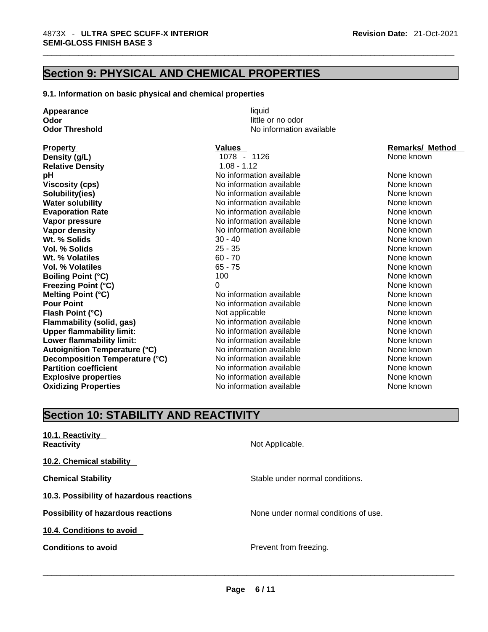## **Section 9: PHYSICAL AND CHEMICAL PROPERTIES**

#### **9.1. Information on basic physical and chemical properties**

**Odor Odor Odor Odor Odor Odor** *little or no odor little or no odor* **Odor Threshold No information available Property Construction Service Construction Values Construction Values Remarks/ Method Relative Density** 1.08 - 1.12

**Appearance** liquid

**Density (g/L) 1078 - 1126** None known **pH h No** information available **Noting the Contract of Cone Added** None known<br>
No information available **None known**<br>
None known **Viscosity (cps) No** information available **Solubility(ies)** No information available None known None known **Water solubility Mater and None Known No information available None Known None known Evaporation Rate Notify Allects Note that Mone information available None known** None known **Vapor pressure Notifically Example 2018** No information available **None known** None known **Vapor density Notify Notify Notify Note About About About About About About About About About About About About About About About About About About About About About About About About About About About About About Wt. % Solids** 30 - 40 None known **Vol. % Solids** 25 - 35 None known **Wt. % Volatiles 60 - 70** None known **None known Vol. % Volatiles COLOGITY COLOGITY ASSESS 65 - 75** None **None known** None known **Boiling Point (°C)** 100 100 None known **Freezing Point (°C)** 0 0 None known **Melting Point (°C)** Noinformation available None known **Pour Point Pour Point No information available None known None known Flash Point (°C) Not applicable None known None known Flammability (solid, gas)** No information available None Known None known **Upper flammability limit:** No information available None Known None known **Lower flammability limit:** No information available None known None known **Autoignition Temperature (°C)** No information available None Known None known **Decomposition Temperature (°C)** No information available None None known **Partition coefficient No information available None known** None known **Explosive properties** The None Known No information available None Known None known **Oxidizing Properties** No information available None known

## **Section 10: STABILITY AND REACTIVITY**

| 10.1. Reactivity<br><b>Reactivity</b>     | Not Applicable.                      |
|-------------------------------------------|--------------------------------------|
| 10.2. Chemical stability                  |                                      |
| <b>Chemical Stability</b>                 | Stable under normal conditions.      |
| 10.3. Possibility of hazardous reactions  |                                      |
| <b>Possibility of hazardous reactions</b> | None under normal conditions of use. |
| 10.4. Conditions to avoid                 |                                      |
| <b>Conditions to avoid</b>                | Prevent from freezing.               |
|                                           |                                      |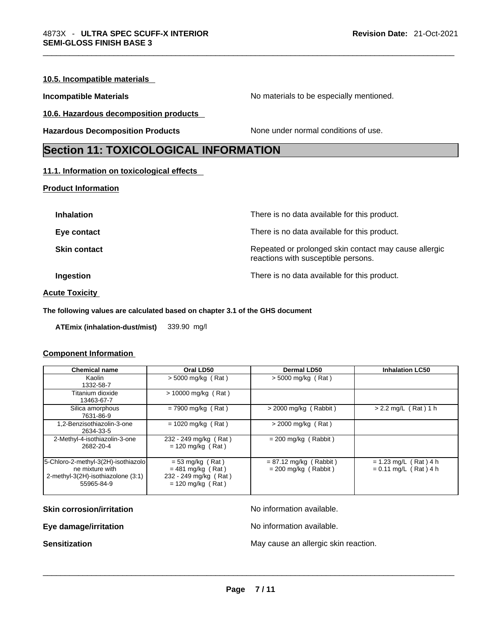#### **10.5. Incompatible materials**

**Incompatible Materials Materials Materials** No materials to be especially mentioned.

**10.6. Hazardous decomposition products** 

**Hazardous Decomposition Products** None under normal conditions of use.

## **Section 11: TOXICOLOGICAL INFORMATION**

#### **11.1. Information on toxicological effects**

#### **Product Information**

#### **Acute Toxicity**

#### **The following values are calculated based on chapter 3.1 of the GHS document**

**ATEmix (inhalation-dust/mist)** 339.90 mg/l

#### **Component Information**

| <b>Chemical name</b>                                                                                       | Oral LD50                                                                                 | <b>Dermal LD50</b>                                 | <b>Inhalation LC50</b>                             |
|------------------------------------------------------------------------------------------------------------|-------------------------------------------------------------------------------------------|----------------------------------------------------|----------------------------------------------------|
| Kaolin<br>1332-58-7                                                                                        | $>$ 5000 mg/kg (Rat)                                                                      | $>$ 5000 mg/kg (Rat)                               |                                                    |
| Titanium dioxide<br>13463-67-7                                                                             | $> 10000$ mg/kg (Rat)                                                                     |                                                    |                                                    |
| Silica amorphous<br>7631-86-9                                                                              | $= 7900$ mg/kg (Rat)                                                                      | $>$ 2000 mg/kg (Rabbit)                            | $> 2.2$ mg/L (Rat) 1 h                             |
| 1,2-Benzisothiazolin-3-one<br>2634-33-5                                                                    | $= 1020$ mg/kg (Rat)                                                                      | > 2000 mg/kg (Rat)                                 |                                                    |
| 2-Methyl-4-isothiazolin-3-one<br>2682-20-4                                                                 | 232 - 249 mg/kg (Rat)<br>$= 120$ mg/kg (Rat)                                              | $= 200$ mg/kg (Rabbit)                             |                                                    |
| 5-Chloro-2-methyl-3(2H)-isothiazolo<br>ne mixture with<br>2-methyl-3(2H)-isothiazolone (3:1)<br>55965-84-9 | $= 53$ mg/kg (Rat)<br>$= 481$ mg/kg (Rat)<br>232 - 249 mg/kg (Rat)<br>$= 120$ mg/kg (Rat) | $= 87.12$ mg/kg (Rabbit)<br>$= 200$ mg/kg (Rabbit) | $= 1.23$ mg/L (Rat) 4 h<br>$= 0.11$ mg/L (Rat) 4 h |

**Skin corrosion/irritation No information available.** 

**Eye damage/irritation Eye damage/irritation No information available.** 

**Sensitization** May cause an allergic skin reaction. \_\_\_\_\_\_\_\_\_\_\_\_\_\_\_\_\_\_\_\_\_\_\_\_\_\_\_\_\_\_\_\_\_\_\_\_\_\_\_\_\_\_\_\_\_\_\_\_\_\_\_\_\_\_\_\_\_\_\_\_\_\_\_\_\_\_\_\_\_\_\_\_\_\_\_\_\_\_\_\_\_\_\_\_\_\_\_\_\_\_\_\_\_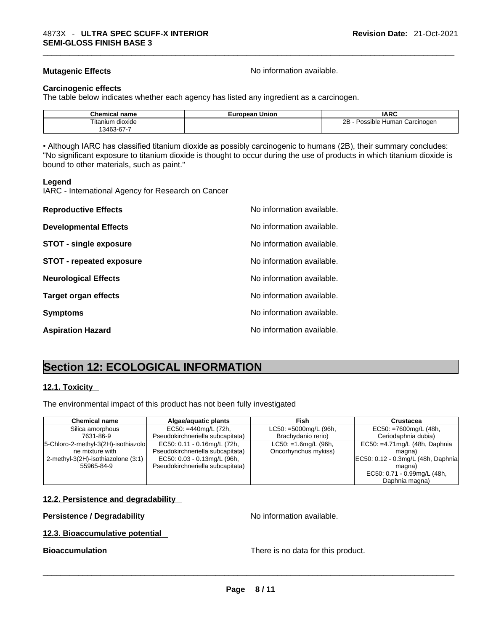**Mutagenic Effects Mutagenic Effects No information available.** 

#### **Carcinogenic effects**

The table below indicates whether each agency has listed any ingredient as a carcinogen.

| Chemical<br>name                 | Union<br>European | <b>IARC</b>                     |
|----------------------------------|-------------------|---------------------------------|
| --<br>⊺ıtanıum<br>dioxide        |                   | 2B<br>Possible Human Carcinogen |
| $.346^\circ$<br>$\sim$<br>.<br>ີ |                   |                                 |

• Although IARC has classified titanium dioxide as possibly carcinogenic to humans (2B), their summary concludes: "No significant exposure to titanium dioxide is thought to occur during the use of products in which titanium dioxide is bound to other materials, such as paint."

#### **Legend**

IARC - International Agency for Research on Cancer

| <b>Reproductive Effects</b>     | No information available. |
|---------------------------------|---------------------------|
| <b>Developmental Effects</b>    | No information available. |
| <b>STOT - single exposure</b>   | No information available. |
| <b>STOT - repeated exposure</b> | No information available. |
| <b>Neurological Effects</b>     | No information available. |
| <b>Target organ effects</b>     | No information available. |
| <b>Symptoms</b>                 | No information available. |
| <b>Aspiration Hazard</b>        | No information available. |

## **Section 12: ECOLOGICAL INFORMATION**

#### **12.1. Toxicity**

The environmental impact of this product has not been fully investigated

| <b>Chemical name</b>                  | Algae/aguatic plants             | Fish                      | <b>Crustacea</b>                    |
|---------------------------------------|----------------------------------|---------------------------|-------------------------------------|
| Silica amorphous                      | $EC50: = 440$ mg/L (72h,         | $LC50: =5000mg/L$ (96h,   | $EC50: = 7600mg/L (48h,$            |
| 7631-86-9                             | Pseudokirchneriella subcapitata) | Brachydanio rerio)        | Ceriodaphnia dubia)                 |
| [5-Chloro-2-methyl-3(2H)-isothiazolo] | EC50: 0.11 - 0.16mg/L (72h,      | $LC50: =1.6$ mg/L $(96h,$ | EC50: =4.71mg/L (48h, Daphnia       |
| ne mixture with                       | Pseudokirchneriella subcapitata) | Oncorhynchus mykiss)      | magna)                              |
| 2-methyl-3(2H)-isothiazolone (3:1)    | EC50: 0.03 - 0.13mg/L (96h,      |                           | EC50: 0.12 - 0.3mg/L (48h, Daphnia) |
| 55965-84-9                            | Pseudokirchneriella subcapitata) |                           | magna)                              |
|                                       |                                  |                           | EC50: 0.71 - 0.99mg/L (48h,         |
|                                       |                                  |                           | Daphnia magna)                      |

#### **12.2. Persistence and degradability**

#### **Persistence / Degradability** No information available.

#### **12.3. Bioaccumulative potential**

**Bioaccumulation** There is no data for this product. \_\_\_\_\_\_\_\_\_\_\_\_\_\_\_\_\_\_\_\_\_\_\_\_\_\_\_\_\_\_\_\_\_\_\_\_\_\_\_\_\_\_\_\_\_\_\_\_\_\_\_\_\_\_\_\_\_\_\_\_\_\_\_\_\_\_\_\_\_\_\_\_\_\_\_\_\_\_\_\_\_\_\_\_\_\_\_\_\_\_\_\_\_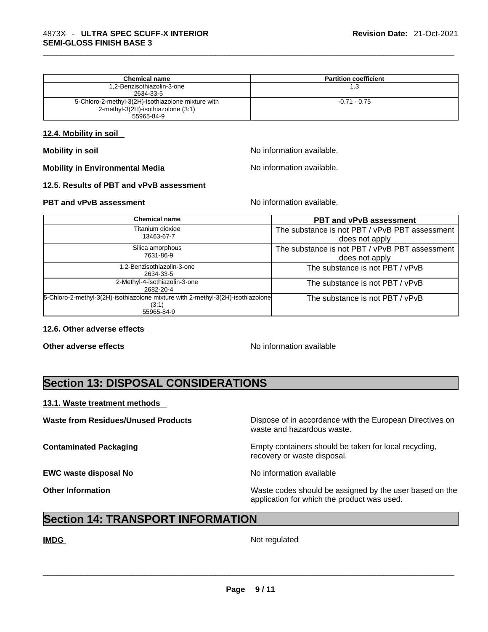| <b>Chemical name</b>                               | <b>Partition coefficient</b> |
|----------------------------------------------------|------------------------------|
| 1,2-Benzisothiazolin-3-one                         | 1.3                          |
| 2634-33-5                                          |                              |
| 5-Chloro-2-methyl-3(2H)-isothiazolone mixture with | $-0.71 - 0.75$               |
| 2-methyl-3(2H)-isothiazolone (3:1)                 |                              |
| 55965-84-9                                         |                              |

#### **12.4. Mobility in soil**

**Mobility** in soil **Mobility** in soil

**Mobility** in Environmental Media North Monomation available.

#### **12.5. Results of PBT and vPvB assessment**

#### **PBT** and **vPvB** assessment **Notify Apple 2012** No information available.

| <b>Chemical name</b>                                                                     | <b>PBT and vPvB assessment</b>                 |
|------------------------------------------------------------------------------------------|------------------------------------------------|
| Fitanium dioxide<br>13463-67-7                                                           | The substance is not PBT / vPvB PBT assessment |
|                                                                                          | does not apply                                 |
| Silica amorphous                                                                         | The substance is not PBT / vPvB PBT assessment |
| 7631-86-9                                                                                | does not apply                                 |
| .2-Benzisothiazolin-3-one                                                                | The substance is not PBT / vPvB                |
| 2634-33-5                                                                                |                                                |
| 2-Methyl-4-isothiazolin-3-one<br>2682-20-4                                               | The substance is not PBT / vPvB                |
| 5-Chloro-2-methyl-3(2H)-isothiazolone mixture with 2-methyl-3(2H)-isothiazolone<br>(3:1) | The substance is not PBT / vPvB                |
| 55965-84-9                                                                               |                                                |

### **12.6. Other adverse effects**

**Other adverse effects No information available No information available** 

## **Section 13: DISPOSAL CONSIDERATIONS**

#### **13.1. Waste treatment methods**

**EWC waste disposal No** No information available

**Waste from Residues/Unused Products** Dispose of in accordance with the European Directives on waste and hazardous waste.

**Contaminated Packaging <b>Empty Containers** should be taken for local recycling, recovery or waste disposal.

**Other Information** Waste codes should be assigned by the user based on the application for which the product was used.

## **Section 14: TRANSPORT INFORMATION**

**IMDG** Not regulated \_\_\_\_\_\_\_\_\_\_\_\_\_\_\_\_\_\_\_\_\_\_\_\_\_\_\_\_\_\_\_\_\_\_\_\_\_\_\_\_\_\_\_\_\_\_\_\_\_\_\_\_\_\_\_\_\_\_\_\_\_\_\_\_\_\_\_\_\_\_\_\_\_\_\_\_\_\_\_\_\_\_\_\_\_\_\_\_\_\_\_\_\_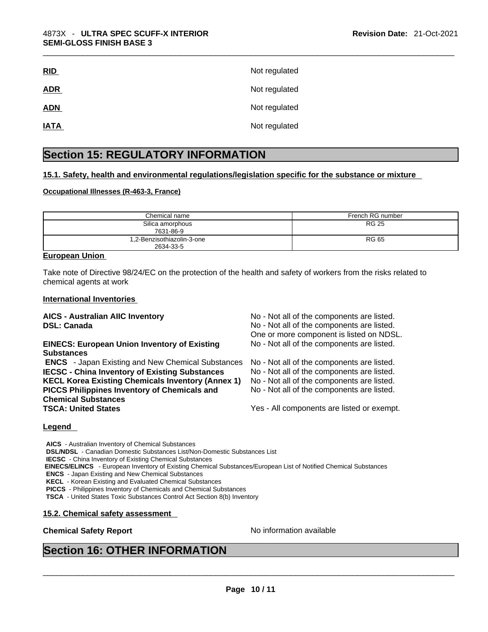| RID         | Not regulated |
|-------------|---------------|
| <b>ADR</b>  | Not regulated |
| <b>ADN</b>  | Not regulated |
| <b>IATA</b> | Not regulated |

## **Section 15: REGULATORY INFORMATION**

#### **15.1. Safety, health and environmental regulations/legislation specific for the substance or mixture**

#### **Occupational Illnesses (R-463-3, France)**

| Chemical name                           | French RG number |
|-----------------------------------------|------------------|
| Silica amorphous<br>7631-86-9           | <b>RG 25</b>     |
| 1,2-Benzisothiazolin-3-one<br>2634-33-5 | <b>RG 65</b>     |

#### **European Union**

Take note of Directive 98/24/EC on the protection of the health and safety of workers from the risks related to chemical agents at work

#### **International Inventories**

### **EINECS: European Union Inventory of Existing Substances**

 **ENCS** - Japan Existing and New Chemical Substances No - Not all of the components are listed. **IECSC - China Inventory of Existing Substances** No - Not all of the components are listed. **KECL Korea Existing Chemicals Inventory (Annex 1)** No - Not all of the components are listed. **PICCS Philippines Inventory of Chemicals and Chemical Substances** 

**AICS - Australian AIIC Inventory** No - Not all of the components are listed. **DSL: Canada No - Not all of the components are listed.** One or more component is listed on NDSL. No - Not all of the components are listed.

No - Not all of the components are listed.

Yes - All components are listed or exempt.

#### **Legend**

**AICS** - Australian Inventory of Chemical Substances **DSL/NDSL** - Canadian Domestic Substances List/Non-Domestic Substances List **IECSC** - China Inventory of Existing Chemical Substances  **EINECS/ELINCS** - European Inventory of Existing Chemical Substances/European List of Notified Chemical Substances **ENCS** - Japan Existing and New Chemical Substances **KECL** - Korean Existing and Evaluated Chemical Substances **PICCS** - Philippines Inventory of Chemicals and Chemical Substances **TSCA** - United States Toxic Substances Control Act Section 8(b) Inventory

#### **15.2. Chemical safety assessment**

# **Chemical Safety Report** No information available \_\_\_\_\_\_\_\_\_\_\_\_\_\_\_\_\_\_\_\_\_\_\_\_\_\_\_\_\_\_\_\_\_\_\_\_\_\_\_\_\_\_\_\_\_\_\_\_\_\_\_\_\_\_\_\_\_\_\_\_\_\_\_\_\_\_\_\_\_\_\_\_\_\_\_\_\_\_\_\_\_\_\_\_\_\_\_\_\_\_\_\_\_ **Section 16: OTHER INFORMATION**